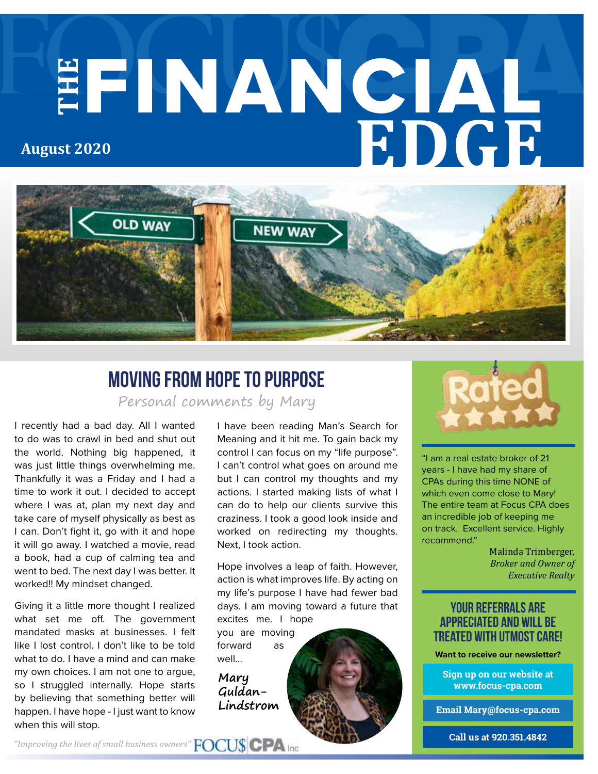# **THE** FINANCIAL **EDGE August 2020**



# Moving from Hope to Purpose

Personal comments by Mary

I recently had a bad day. All I wanted to do was to crawl in bed and shut out the world. Nothing big happened, it was just little things overwhelming me. Thankfully it was a Friday and I had a time to work it out. I decided to accept where I was at, plan my next day and take care of myself physically as best as I can. Don't fight it, go with it and hope it will go away. I watched a movie, read a book, had a cup of calming tea and went to bed. The next day I was better. It worked!! My mindset changed.

Giving it a little more thought I realized what set me off. The government mandated masks at businesses. I felt like I lost control. I don't like to be told what to do. I have a mind and can make my own choices. I am not one to argue, so I struggled internally. Hope starts by believing that something better will happen. I have hope - I just want to know when this will stop.

I have been reading Man's Search for Meaning and it hit me. To gain back my control I can focus on my "life purpose". I can't control what goes on around me but I can control my thoughts and my actions. I started making lists of what I can do to help our clients survive this craziness. I took a good look inside and worked on redirecting my thoughts. Next, I took action.

Hope involves a leap of faith. However, action is what improves life. By acting on my life's purpose I have had fewer bad days. I am moving toward a future that excites me. I hope

you are moving forward as well…

**Mary Guldan-Lindstrom**



"I am a real estate broker of 21 years - I have had my share of CPAs during this time NONE of which even come close to Mary! The entire team at Focus CPA does an incredible job of keeping me on track. Excellent service. Highly recommend."

> Malinda Trimberger, *Broker and Owner of Executive Realty*

### your referrals are appreciated and will be treated with utmost care!

**Want to receive our newsletter?**

**Sign up on our website at www.focus-cpa.com**

**Email Mary@focus-cpa.com**

**Call us at 920.351.4842**

*"Improving the lives of small business owners"*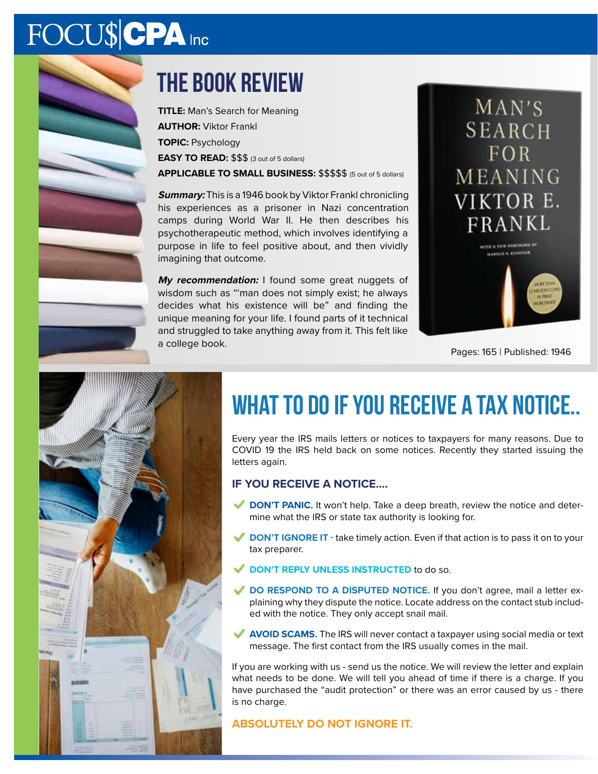# FOCU\$CPA Inc

# the book review

**TITLE:** Man's Search for Meaning **AUTHOR:** Viktor Frankl **TOPIC:** Psychology **EASY TO READ:** \$\$\$ (3 out of 5 dollars) **APPLICABLE TO SMALL BUSINESS:** \$\$\$\$\$ (5 out of 5 dollars)

**Summary:** This is a 1946 book by Viktor Frankl chronicling his experiences as a prisoner in Nazi concentration camps during World War II. He then describes his psychotherapeutic method, which involves identifying a purpose in life to feel positive about, and then vividly imagining that outcome.

**My recommendation:** I found some great nuggets of wisdom such as "'man does not simply exist; he always decides what his existence will be" and finding the unique meaning for your life. I found parts of it technical and struggled to take anything away from it. This felt like a college book.



Pages: 165 | Published: 1946



# WHAT TO DO IF YOU RECEIVE A TAX NOTICE..

Every year the IRS mails letters or notices to taxpayers for many reasons. Due to COVID 19 the IRS held back on some notices. Recently they started issuing the letters again.

#### **IF YOU RECEIVE A NOTICE….**

- **DON'T PANIC.** It won't help. Take a deep breath, review the notice and determine what the IRS or state tax authority is looking for.
- **DON'T IGNORE IT -** take timely action. Even if that action is to pass it on to your tax preparer.
- **DON'T REPLY UNLESS INSTRUCTED** to do so.
- **DO RESPOND TO A DISPUTED NOTICE.** If you don't agree, mail a letter explaining why they dispute the notice. Locate address on the contact stub included with the notice. They only accept snail mail.
- **AVOID SCAMS.** The IRS will never contact a taxpayer using social media or text message. The first contact from the IRS usually comes in the mail.

If you are working with us - send us the notice. We will review the letter and explain what needs to be done. We will tell you ahead of time if there is a charge. If you have purchased the "audit protection" or there was an error caused by us - there is no charge.

#### **ABSOLUTELY DO NOT IGNORE IT.**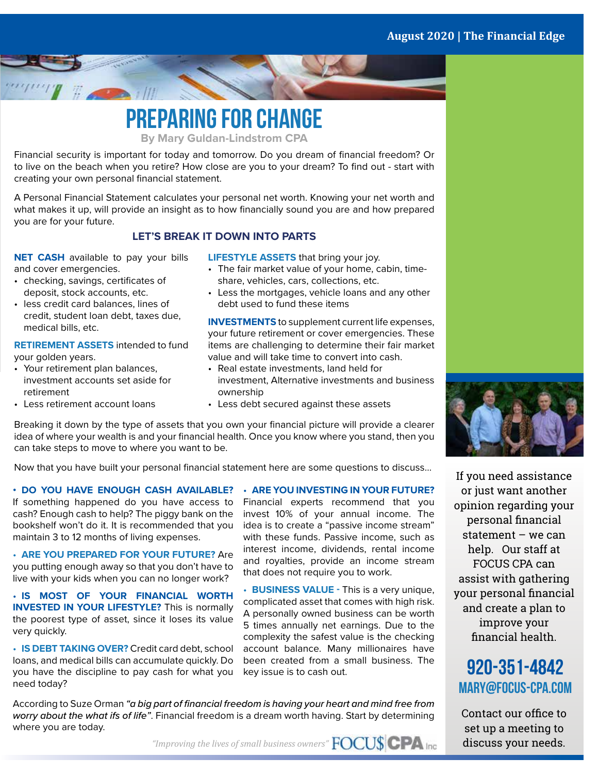

**By Mary Guldan-Lindstrom CPA**

Financial security is important for today and tomorrow. Do you dream of financial freedom? Or to live on the beach when you retire? How close are you to your dream? To find out - start with creating your own personal financial statement.

A Personal Financial Statement calculates your personal net worth. Knowing your net worth and what makes it up, will provide an insight as to how financially sound you are and how prepared you are for your future.

#### **LET'S BREAK IT DOWN INTO PARTS**

**NET CASH** available to pay your bills and cover emergencies.

 $\frac{1}{2}$   $\frac{1}{2}$   $\frac{1}{2}$   $\frac{1}{2}$   $\frac{1}{2}$ 

- checking, savings, certificates of deposit, stock accounts, etc.
- less credit card balances, lines of credit, student loan debt, taxes due, medical bills, etc.

**RETIREMENT ASSETS** intended to fund your golden years.

- Your retirement plan balances, investment accounts set aside for retirement
- Less retirement account loans
- **LIFESTYLE ASSETS** that bring your joy.
- The fair market value of your home, cabin, timeshare, vehicles, cars, collections, etc.
- Less the mortgages, vehicle loans and any other debt used to fund these items

**INVESTMENTS** to supplement current life expenses, your future retirement or cover emergencies. These items are challenging to determine their fair market value and will take time to convert into cash.

• Real estate investments, land held for investment, Alternative investments and business ownership

> • **ARE YOU INVESTING IN YOUR FUTURE?** Financial experts recommend that you invest 10% of your annual income. The idea is to create a "passive income stream" with these funds. Passive income, such as interest income, dividends, rental income and royalties, provide an income stream

> • **BUSINESS VALUE -** This is a very unique, complicated asset that comes with high risk. A personally owned business can be worth 5 times annually net earnings. Due to the complexity the safest value is the checking account balance. Many millionaires have been created from a small business. The

that does not require you to work.

• Less debt secured against these assets

Breaking it down by the type of assets that you own your financial picture will provide a clearer idea of where your wealth is and your financial health. Once you know where you stand, then you can take steps to move to where you want to be.

Now that you have built your personal financial statement here are some questions to discuss…

**• DO YOU HAVE ENOUGH CASH AVAILABLE?** If something happened do you have access to cash? Enough cash to help? The piggy bank on the bookshelf won't do it. It is recommended that you maintain 3 to 12 months of living expenses.

• **ARE YOU PREPARED FOR YOUR FUTURE?** Are you putting enough away so that you don't have to live with your kids when you can no longer work?

• **IS MOST OF YOUR FINANCIAL WORTH INVESTED IN YOUR LIFESTYLE?** This is normally the poorest type of asset, since it loses its value very quickly.

• **IS DEBT TAKING OVER?** Credit card debt, school loans, and medical bills can accumulate quickly. Do you have the discipline to pay cash for what you need today?

According to Suze Orman *"a big part of financial freedom is having your heart and mind free from worry about the what ifs of life"*. Financial freedom is a dream worth having. Start by determining where you are today.



If you need assistance or just want another opinion regarding your personal financial statement – we can help. Our staff at FOCUS CPA can assist with gathering your personal financial and create a plan to improve your financial health.

## 920-351-4842 mary@focus-cpa.com

Contact our office to set up a meeting to discuss your needs.

*"Improving the lives of small business owners"*

key issue is to cash out.